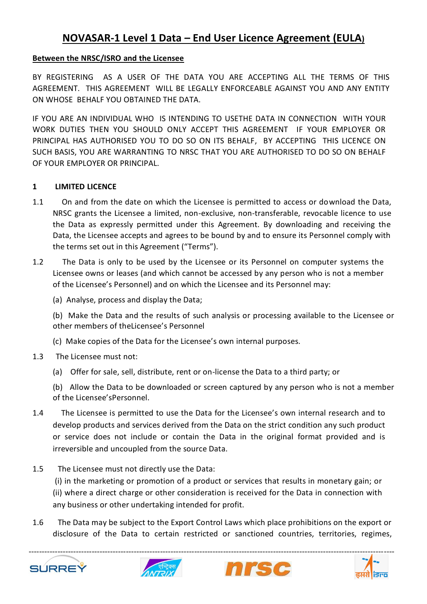# **NOVASAR-1 Level 1 Data – End User Licence Agreement (EULA)**

### **Between the NRSC/ISRO and the Licensee**

BY REGISTERING AS A USER OF THE DATA YOU ARE ACCEPTING ALL THE TERMS OF THIS AGREEMENT. THIS AGREEMENT WILL BE LEGALLY ENFORCEABLE AGAINST YOU AND ANY ENTITY ON WHOSE BEHALF YOU OBTAINED THE DATA.

IF YOU ARE AN INDIVIDUAL WHO IS INTENDING TO USETHE DATA IN CONNECTION WITH YOUR WORK DUTIES THEN YOU SHOULD ONLY ACCEPT THIS AGREEMENT IF YOUR EMPLOYER OR PRINCIPAL HAS AUTHORISED YOU TO DO SO ON ITS BEHALF, BY ACCEPTING THIS LICENCE ON SUCH BASIS, YOU ARE WARRANTING TO NRSC THAT YOU ARE AUTHORISED TO DO SO ON BEHALF OF YOUR EMPLOYER OR PRINCIPAL.

#### **1 LIMITED LICENCE**

- 1.1 On and from the date on which the Licensee is permitted to access or download the Data, NRSC grants the Licensee a limited, non-exclusive, non-transferable, revocable licence to use the Data as expressly permitted under this Agreement. By downloading and receiving the Data, the Licensee accepts and agrees to be bound by and to ensure its Personnel comply with the terms set out in this Agreement ("Terms").
- 1.2 The Data is only to be used by the Licensee or its Personnel on computer systems the Licensee owns or leases (and which cannot be accessed by any person who is not a member of the Licensee's Personnel) and on which the Licensee and its Personnel may:
	- (a) Analyse, process and display the Data;

(b) Make the Data and the results of such analysis or processing available to the Licensee or other members of theLicensee's Personnel

- (c) Make copies of the Data for the Licensee's own internal purposes.
- 1.3 The Licensee must not:
	- (a) Offer for sale, sell, distribute, rent or on-license the Data to a third party; or

(b) Allow the Data to be downloaded or screen captured by any person who is not a member of the Licensee'sPersonnel.

- 1.4 The Licensee is permitted to use the Data for the Licensee's own internal research and to develop products and services derived from the Data on the strict condition any such product or service does not include or contain the Data in the original format provided and is irreversible and uncoupled from the source Data.
- 1.5 The Licensee must not directly use the Data:
	- (i) in the marketing or promotion of a product or services that results in monetary gain; or
	- (ii) where a direct charge or other consideration is received for the Data in connection with any business or other undertaking intended for profit.
- 1.6 The Data may be subject to the Export Control Laws which place prohibitions on the export or disclosure of the Data to certain restricted or sanctioned countries, territories, regimes,







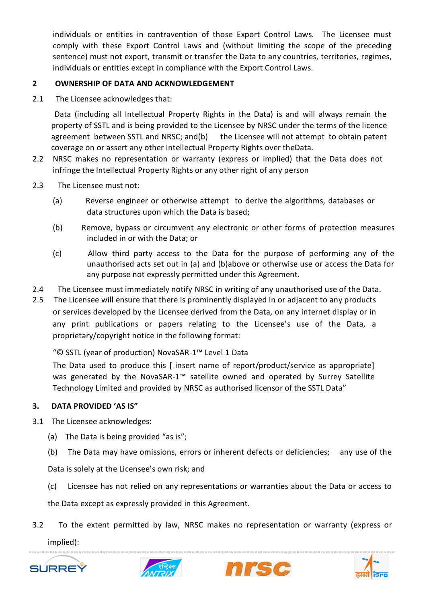individuals or entities in contravention of those Export Control Laws. The Licensee must comply with these Export Control Laws and (without limiting the scope of the preceding sentence) must not export, transmit or transfer the Data to any countries, territories, regimes, individuals or entities except in compliance with the Export Control Laws.

## **2 OWNERSHIP OF DATA AND ACKNOWLEDGEMENT**

2.1 The Licensee acknowledges that:

Data (including all Intellectual Property Rights in the Data) is and will always remain the property of SSTL and is being provided to the Licensee by NRSC under the terms of the licence agreement between SSTL and NRSC; and(b) the Licensee will not attempt to obtain patent coverage on or assert any other Intellectual Property Rights over theData.

- 2.2 NRSC makes no representation or warranty (express or implied) that the Data does not infringe the Intellectual Property Rights or any other right of any person
- 2.3 The Licensee must not:
	- (a) Reverse engineer or otherwise attempt to derive the algorithms, databases or data structures upon which the Data is based;
	- (b) Remove, bypass or circumvent any electronic or other forms of protection measures included in or with the Data; or
	- (c) Allow third party access to the Data for the purpose of performing any of the unauthorised acts set out in (a) and (b)above or otherwise use or access the Data for any purpose not expressly permitted under this Agreement.
- 2.4 The Licensee must immediately notify NRSC in writing of any unauthorised use of the Data.
- 2.5 The Licensee will ensure that there is prominently displayed in or adjacent to any products or services developed by the Licensee derived from the Data, on any internet display or in any print publications or papers relating to the Licensee's use of the Data, a proprietary/copyright notice in the following format:

"© SSTL (year of production) NovaSAR-1™ Level 1 Data

The Data used to produce this [ insert name of report/product/service as appropriate] was generated by the NovaSAR-1<sup>™</sup> satellite owned and operated by Surrey Satellite Technology Limited and provided by NRSC as authorised licensor of the SSTL Data"

## **3. DATA PROVIDED 'AS IS"**

- 3.1 The Licensee acknowledges:
	- (a) The Data is being provided "as is";
	- (b) The Data may have omissions, errors or inherent defects or deficiencies; any use of the

Data is solely at the Licensee's own risk; and

(c) Licensee has not relied on any representations or warranties about the Data or access to

the Data except as expressly provided in this Agreement.

3.2 To the extent permitted by law, NRSC makes no representation or warranty (express or implied):







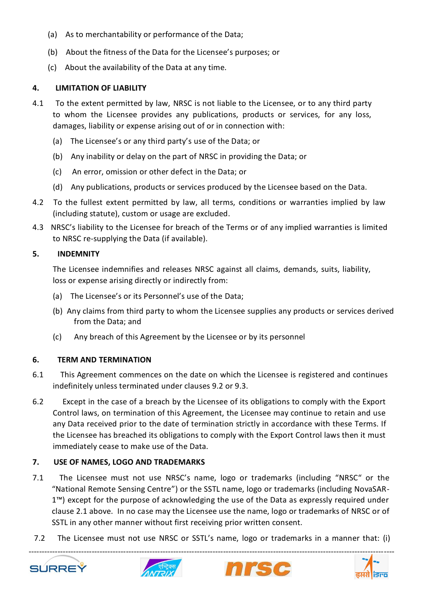- (a) As to merchantability or performance of the Data;
- (b) About the fitness of the Data for the Licensee's purposes; or
- (c) About the availability of the Data at any time.

### **4. LIMITATION OF LIABILITY**

- 4.1 To the extent permitted by law, NRSC is not liable to the Licensee, or to any third party to whom the Licensee provides any publications, products or services, for any loss, damages, liability or expense arising out of or in connection with:
	- (a) The Licensee's or any third party's use of the Data; or
	- (b) Any inability or delay on the part of NRSC in providing the Data; or
	- (c) An error, omission or other defect in the Data; or
	- (d) Any publications, products or services produced by the Licensee based on the Data.
- 4.2 To the fullest extent permitted by law, all terms, conditions or warranties implied by law (including statute), custom or usage are excluded.
- 4.3 NRSC's liability to the Licensee for breach of the Terms or of any implied warranties is limited to NRSC re-supplying the Data (if available).

### **5. INDEMNITY**

The Licensee indemnifies and releases NRSC against all claims, demands, suits, liability, loss or expense arising directly or indirectly from:

- (a) The Licensee's or its Personnel's use of the Data;
- (b) Any claims from third party to whom the Licensee supplies any products or services derived from the Data; and
- (c) Any breach of this Agreement by the Licensee or by its personnel

### **6. TERM AND TERMINATION**

- 6.1 This Agreement commences on the date on which the Licensee is registered and continues indefinitely unless terminated under clauses 9.2 or 9.3.
- 6.2 Except in the case of a breach by the Licensee of its obligations to comply with the Export Control laws, on termination of this Agreement, the Licensee may continue to retain and use any Data received prior to the date of termination strictly in accordance with these Terms. If the Licensee has breached its obligations to comply with the Export Control laws then it must immediately cease to make use of the Data.

## **7. USE OF NAMES, LOGO AND TRADEMARKS**

- 7.1 The Licensee must not use NRSC's name, logo or trademarks (including "NRSC" or the "National Remote Sensing Centre") or the SSTL name, logo or trademarks (including NovaSAR-1™) except for the purpose of acknowledging the use of the Data as expressly required under clause 2.1 above. In no case may the Licensee use the name, logo or trademarks of NRSC or of SSTL in any other manner without first receiving prior written consent.
- 7.2 The Licensee must not use NRSC or SSTL's name, logo or trademarks in a manner that: (i)